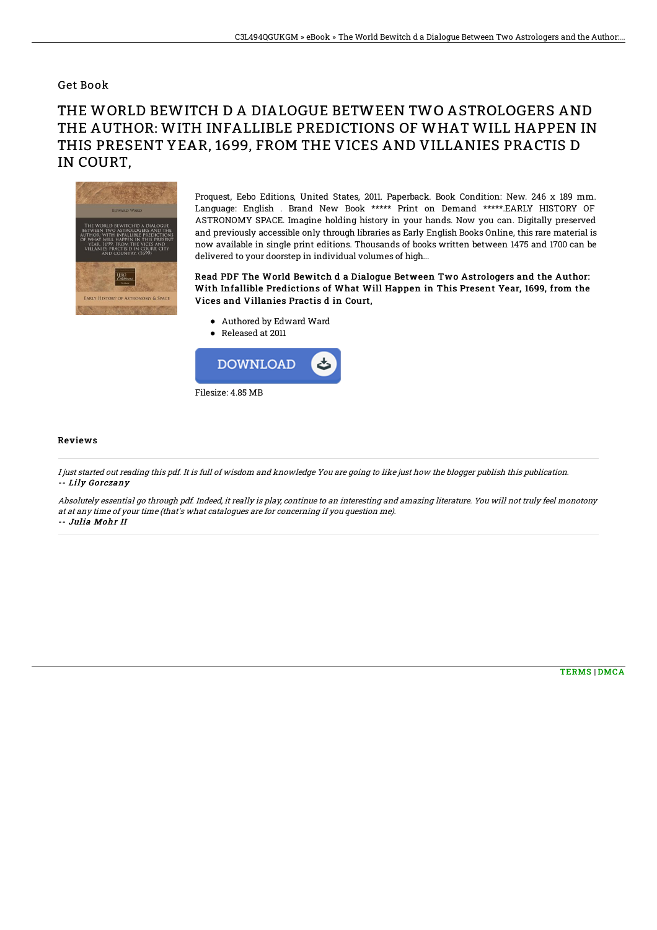## Get Book

## THE WORLD BEWITCH D A DIALOGUE BETWEEN TWO ASTROLOGERS AND THE AUTHOR: WITH INFALLIBLE PREDICTIONS OF WHAT WILL HAPPEN IN THIS PRESENT YEAR, 1699, FROM THE VICES AND VILLANIES PRACTIS D IN COURT,



Proquest, Eebo Editions, United States, 2011. Paperback. Book Condition: New. 246 x 189 mm. Language: English . Brand New Book \*\*\*\*\* Print on Demand \*\*\*\*\*.EARLY HISTORY OF ASTRONOMY SPACE. Imagine holding history in your hands. Now you can. Digitally preserved and previously accessible only through libraries as Early English Books Online, this rare material is now available in single print editions. Thousands of books written between 1475 and 1700 can be delivered to your doorstep in individual volumes of high...

Read PDF The World Bewitch d a Dialogue Between Two Astrologers and the Author: With Infallible Predictions of What Will Happen in This Present Year, 1699, from the Vices and Villanies Practis d in Court,

- Authored by Edward Ward
- Released at 2011



## Reviews

I just started out reading this pdf. It is full of wisdom and knowledge You are going to like just how the blogger publish this publication. -- Lily Gorczany

Absolutely essential go through pdf. Indeed, it really is play, continue to an interesting and amazing literature. You will not truly feel monotony at at any time of your time (that's what catalogues are for concerning if you question me). -- Julia Mohr II